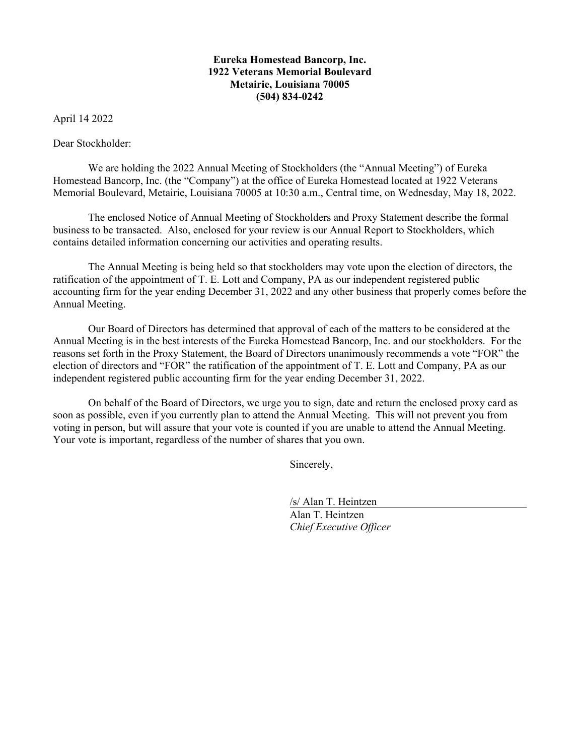# **Eureka Homestead Bancorp, Inc. 1922 Veterans Memorial Boulevard Metairie, Louisiana 70005 (504) 834-0242**

April 14 2022

Dear Stockholder:

We are holding the 2022 Annual Meeting of Stockholders (the "Annual Meeting") of Eureka Homestead Bancorp, Inc. (the "Company") at the office of Eureka Homestead located at 1922 Veterans Memorial Boulevard, Metairie, Louisiana 70005 at 10:30 a.m., Central time, on Wednesday, May 18, 2022.

The enclosed Notice of Annual Meeting of Stockholders and Proxy Statement describe the formal business to be transacted. Also, enclosed for your review is our Annual Report to Stockholders, which contains detailed information concerning our activities and operating results.

The Annual Meeting is being held so that stockholders may vote upon the election of directors, the ratification of the appointment of T. E. Lott and Company, PA as our independent registered public accounting firm for the year ending December 31, 2022 and any other business that properly comes before the Annual Meeting.

Our Board of Directors has determined that approval of each of the matters to be considered at the Annual Meeting is in the best interests of the Eureka Homestead Bancorp, Inc. and our stockholders. For the reasons set forth in the Proxy Statement, the Board of Directors unanimously recommends a vote "FOR" the election of directors and "FOR" the ratification of the appointment of T. E. Lott and Company, PA as our independent registered public accounting firm for the year ending December 31, 2022.

On behalf of the Board of Directors, we urge you to sign, date and return the enclosed proxy card as soon as possible, even if you currently plan to attend the Annual Meeting. This will not prevent you from voting in person, but will assure that your vote is counted if you are unable to attend the Annual Meeting. Your vote is important, regardless of the number of shares that you own.

Sincerely,

 /s/ Alan T. Heintzen Alan T. Heintzen *Chief Executive Officer*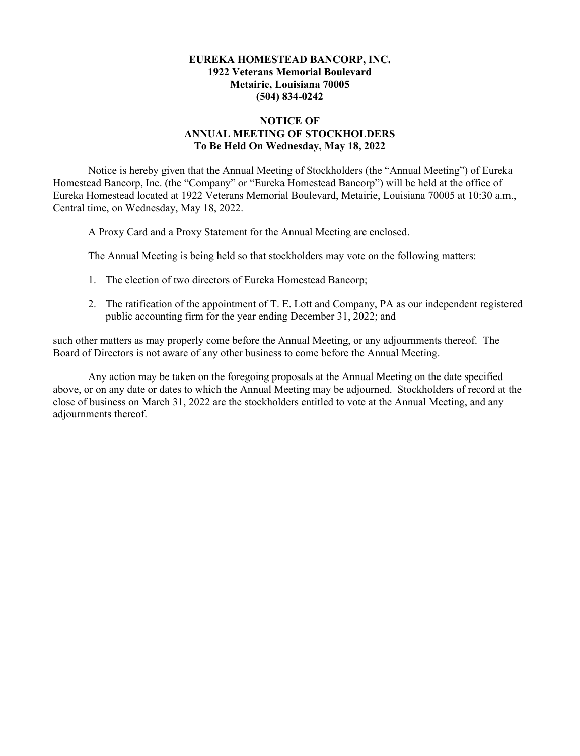# **EUREKA HOMESTEAD BANCORP, INC. 1922 Veterans Memorial Boulevard Metairie, Louisiana 70005 (504) 834-0242**

# **NOTICE OF ANNUAL MEETING OF STOCKHOLDERS To Be Held On Wednesday, May 18, 2022**

Notice is hereby given that the Annual Meeting of Stockholders (the "Annual Meeting") of Eureka Homestead Bancorp, Inc. (the "Company" or "Eureka Homestead Bancorp") will be held at the office of Eureka Homestead located at 1922 Veterans Memorial Boulevard, Metairie, Louisiana 70005 at 10:30 a.m., Central time, on Wednesday, May 18, 2022.

A Proxy Card and a Proxy Statement for the Annual Meeting are enclosed.

The Annual Meeting is being held so that stockholders may vote on the following matters:

- 1. The election of two directors of Eureka Homestead Bancorp;
- 2. The ratification of the appointment of T. E. Lott and Company, PA as our independent registered public accounting firm for the year ending December 31, 2022; and

such other matters as may properly come before the Annual Meeting, or any adjournments thereof. The Board of Directors is not aware of any other business to come before the Annual Meeting.

Any action may be taken on the foregoing proposals at the Annual Meeting on the date specified above, or on any date or dates to which the Annual Meeting may be adjourned. Stockholders of record at the close of business on March 31, 2022 are the stockholders entitled to vote at the Annual Meeting, and any adjournments thereof.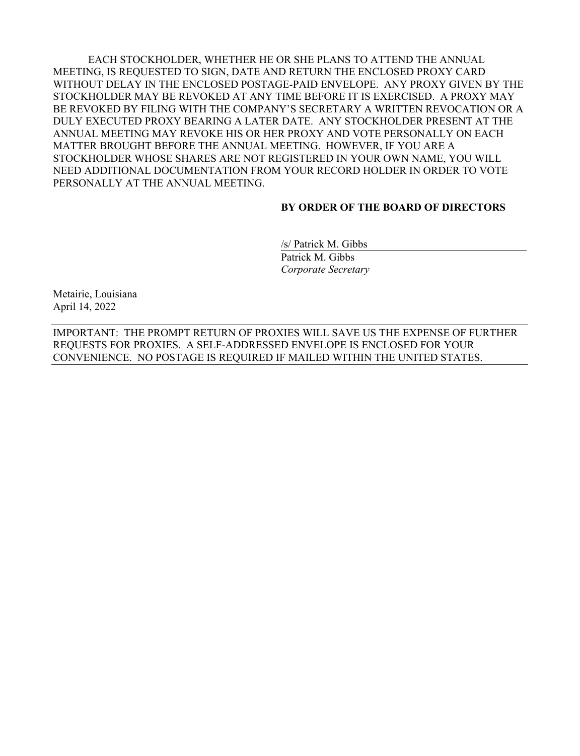EACH STOCKHOLDER, WHETHER HE OR SHE PLANS TO ATTEND THE ANNUAL MEETING, IS REQUESTED TO SIGN, DATE AND RETURN THE ENCLOSED PROXY CARD WITHOUT DELAY IN THE ENCLOSED POSTAGE-PAID ENVELOPE. ANY PROXY GIVEN BY THE STOCKHOLDER MAY BE REVOKED AT ANY TIME BEFORE IT IS EXERCISED. A PROXY MAY BE REVOKED BY FILING WITH THE COMPANY'S SECRETARY A WRITTEN REVOCATION OR A DULY EXECUTED PROXY BEARING A LATER DATE. ANY STOCKHOLDER PRESENT AT THE ANNUAL MEETING MAY REVOKE HIS OR HER PROXY AND VOTE PERSONALLY ON EACH MATTER BROUGHT BEFORE THE ANNUAL MEETING. HOWEVER, IF YOU ARE A STOCKHOLDER WHOSE SHARES ARE NOT REGISTERED IN YOUR OWN NAME, YOU WILL NEED ADDITIONAL DOCUMENTATION FROM YOUR RECORD HOLDER IN ORDER TO VOTE PERSONALLY AT THE ANNUAL MEETING.

### **BY ORDER OF THE BOARD OF DIRECTORS**

 /s/ Patrick M. Gibbs Patrick M. Gibbs  *Corporate Secretary*

Metairie, Louisiana April 14, 2022

IMPORTANT: THE PROMPT RETURN OF PROXIES WILL SAVE US THE EXPENSE OF FURTHER REQUESTS FOR PROXIES. A SELF-ADDRESSED ENVELOPE IS ENCLOSED FOR YOUR CONVENIENCE. NO POSTAGE IS REQUIRED IF MAILED WITHIN THE UNITED STATES.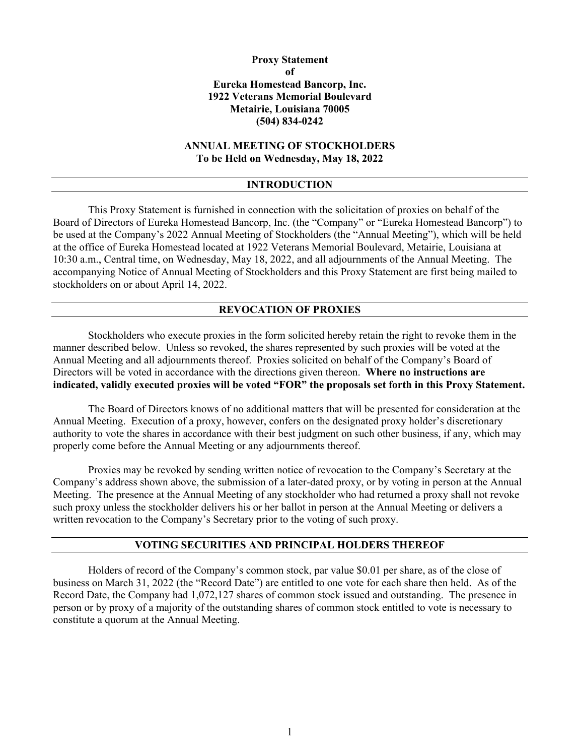# **Proxy Statement of Eureka Homestead Bancorp, Inc. 1922 Veterans Memorial Boulevard Metairie, Louisiana 70005 (504) 834-0242**

# **ANNUAL MEETING OF STOCKHOLDERS To be Held on Wednesday, May 18, 2022**

### **INTRODUCTION**

This Proxy Statement is furnished in connection with the solicitation of proxies on behalf of the Board of Directors of Eureka Homestead Bancorp, Inc. (the "Company" or "Eureka Homestead Bancorp") to be used at the Company's 2022 Annual Meeting of Stockholders (the "Annual Meeting"), which will be held at the office of Eureka Homestead located at 1922 Veterans Memorial Boulevard, Metairie, Louisiana at 10:30 a.m., Central time, on Wednesday, May 18, 2022, and all adjournments of the Annual Meeting. The accompanying Notice of Annual Meeting of Stockholders and this Proxy Statement are first being mailed to stockholders on or about April 14, 2022.

### **REVOCATION OF PROXIES**

Stockholders who execute proxies in the form solicited hereby retain the right to revoke them in the manner described below. Unless so revoked, the shares represented by such proxies will be voted at the Annual Meeting and all adjournments thereof. Proxies solicited on behalf of the Company's Board of Directors will be voted in accordance with the directions given thereon. **Where no instructions are indicated, validly executed proxies will be voted "FOR" the proposals set forth in this Proxy Statement.** 

The Board of Directors knows of no additional matters that will be presented for consideration at the Annual Meeting. Execution of a proxy, however, confers on the designated proxy holder's discretionary authority to vote the shares in accordance with their best judgment on such other business, if any, which may properly come before the Annual Meeting or any adjournments thereof.

Proxies may be revoked by sending written notice of revocation to the Company's Secretary at the Company's address shown above, the submission of a later-dated proxy, or by voting in person at the Annual Meeting. The presence at the Annual Meeting of any stockholder who had returned a proxy shall not revoke such proxy unless the stockholder delivers his or her ballot in person at the Annual Meeting or delivers a written revocation to the Company's Secretary prior to the voting of such proxy.

# **VOTING SECURITIES AND PRINCIPAL HOLDERS THEREOF**

Holders of record of the Company's common stock, par value \$0.01 per share, as of the close of business on March 31, 2022 (the "Record Date") are entitled to one vote for each share then held. As of the Record Date, the Company had 1,072,127 shares of common stock issued and outstanding. The presence in person or by proxy of a majority of the outstanding shares of common stock entitled to vote is necessary to constitute a quorum at the Annual Meeting.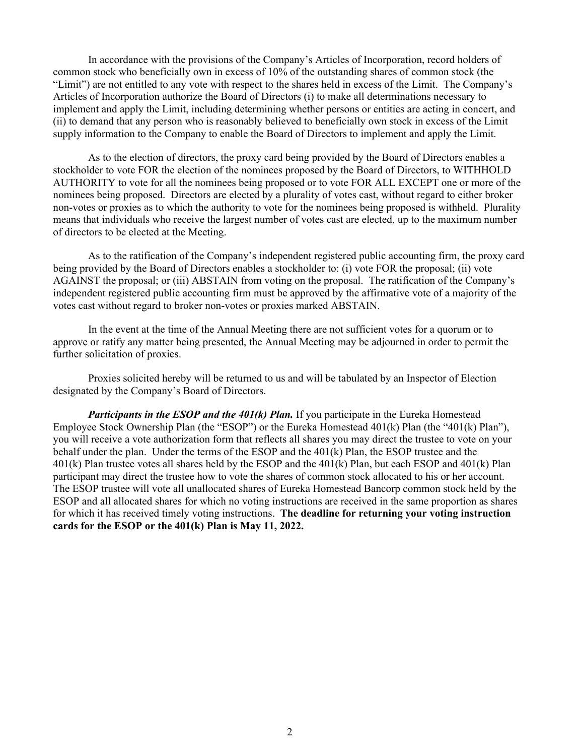In accordance with the provisions of the Company's Articles of Incorporation, record holders of common stock who beneficially own in excess of 10% of the outstanding shares of common stock (the "Limit") are not entitled to any vote with respect to the shares held in excess of the Limit. The Company's Articles of Incorporation authorize the Board of Directors (i) to make all determinations necessary to implement and apply the Limit, including determining whether persons or entities are acting in concert, and (ii) to demand that any person who is reasonably believed to beneficially own stock in excess of the Limit supply information to the Company to enable the Board of Directors to implement and apply the Limit.

As to the election of directors, the proxy card being provided by the Board of Directors enables a stockholder to vote FOR the election of the nominees proposed by the Board of Directors, to WITHHOLD AUTHORITY to vote for all the nominees being proposed or to vote FOR ALL EXCEPT one or more of the nominees being proposed. Directors are elected by a plurality of votes cast, without regard to either broker non-votes or proxies as to which the authority to vote for the nominees being proposed is withheld. Plurality means that individuals who receive the largest number of votes cast are elected, up to the maximum number of directors to be elected at the Meeting.

As to the ratification of the Company's independent registered public accounting firm, the proxy card being provided by the Board of Directors enables a stockholder to: (i) vote FOR the proposal; (ii) vote AGAINST the proposal; or (iii) ABSTAIN from voting on the proposal. The ratification of the Company's independent registered public accounting firm must be approved by the affirmative vote of a majority of the votes cast without regard to broker non-votes or proxies marked ABSTAIN.

In the event at the time of the Annual Meeting there are not sufficient votes for a quorum or to approve or ratify any matter being presented, the Annual Meeting may be adjourned in order to permit the further solicitation of proxies.

Proxies solicited hereby will be returned to us and will be tabulated by an Inspector of Election designated by the Company's Board of Directors.

*Participants in the ESOP and the 401(k) Plan.* If you participate in the Eureka Homestead Employee Stock Ownership Plan (the "ESOP") or the Eureka Homestead 401(k) Plan (the "401(k) Plan"), you will receive a vote authorization form that reflects all shares you may direct the trustee to vote on your behalf under the plan. Under the terms of the ESOP and the 401(k) Plan, the ESOP trustee and the 401(k) Plan trustee votes all shares held by the ESOP and the 401(k) Plan, but each ESOP and 401(k) Plan participant may direct the trustee how to vote the shares of common stock allocated to his or her account. The ESOP trustee will vote all unallocated shares of Eureka Homestead Bancorp common stock held by the ESOP and all allocated shares for which no voting instructions are received in the same proportion as shares for which it has received timely voting instructions. **The deadline for returning your voting instruction cards for the ESOP or the 401(k) Plan is May 11, 2022.**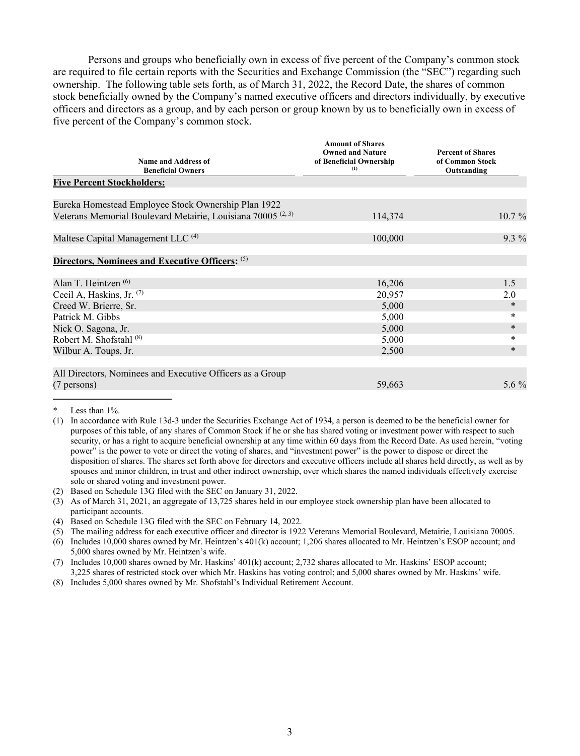Persons and groups who beneficially own in excess of five percent of the Company's common stock are required to file certain reports with the Securities and Exchange Commission (the "SEC") regarding such ownership. The following table sets forth, as of March 31, 2022, the Record Date, the shares of common stock beneficially owned by the Company's named executive officers and directors individually, by executive officers and directors as a group, and by each person or group known by us to beneficially own in excess of five percent of the Company's common stock.

| Name and Address of                                                     | <b>Amount of Shares</b><br><b>Owned and Nature</b><br>of Beneficial Ownership | <b>Percent of Shares</b><br>of Common Stock |
|-------------------------------------------------------------------------|-------------------------------------------------------------------------------|---------------------------------------------|
| <b>Beneficial Owners</b>                                                | (1)                                                                           | Outstanding                                 |
| <b>Five Percent Stockholders:</b>                                       |                                                                               |                                             |
| Eureka Homestead Employee Stock Ownership Plan 1922                     |                                                                               |                                             |
| Veterans Memorial Boulevard Metairie, Louisiana 70005 <sup>(2, 3)</sup> | 114,374                                                                       | $10.7\%$                                    |
| Maltese Capital Management LLC <sup>(4)</sup>                           | 100,000                                                                       | $9.3\%$                                     |
| Directors, Nominees and Executive Officers: (5)                         |                                                                               |                                             |
| Alan T. Heintzen <sup>(6)</sup>                                         | 16,206                                                                        | 1.5                                         |
| Cecil A, Haskins, Jr. $(7)$                                             | 20,957                                                                        | 2.0                                         |
| Creed W. Brierre, Sr.                                                   | 5,000                                                                         | ∗                                           |
| Patrick M. Gibbs                                                        | 5,000                                                                         | *                                           |
| Nick O. Sagona, Jr.                                                     | 5,000                                                                         | $\ast$                                      |
| Robert M. Shofstahl <sup>(8)</sup>                                      | 5,000                                                                         | *                                           |
| Wilbur A. Toups, Jr.                                                    | 2,500                                                                         | $\ast$                                      |
| All Directors, Nominees and Executive Officers as a Group               |                                                                               |                                             |
| $(7 \text{ persons})$                                                   | 59,663                                                                        | 5.6 $\%$                                    |

Less than 1%.

<sup>(1)</sup> In accordance with Rule 13d-3 under the Securities Exchange Act of 1934, a person is deemed to be the beneficial owner for purposes of this table, of any shares of Common Stock if he or she has shared voting or investment power with respect to such security, or has a right to acquire beneficial ownership at any time within 60 days from the Record Date. As used herein, "voting power" is the power to vote or direct the voting of shares, and "investment power" is the power to dispose or direct the disposition of shares. The shares set forth above for directors and executive officers include all shares held directly, as well as by spouses and minor children, in trust and other indirect ownership, over which shares the named individuals effectively exercise sole or shared voting and investment power.

<sup>(2)</sup> Based on Schedule 13G filed with the SEC on January 31, 2022.

<sup>(3)</sup> As of March 31, 2021, an aggregate of 13,725 shares held in our employee stock ownership plan have been allocated to participant accounts.

<sup>(4)</sup> Based on Schedule 13G filed with the SEC on February 14, 2022.

<sup>(5)</sup> The mailing address for each executive officer and director is 1922 Veterans Memorial Boulevard, Metairie, Louisiana 70005.

<sup>(6)</sup> Includes 10,000 shares owned by Mr. Heintzen's 401(k) account; 1,206 shares allocated to Mr. Heintzen's ESOP account; and 5,000 shares owned by Mr. Heintzen's wife.

<sup>(7)</sup> Includes 10,000 shares owned by Mr. Haskins' 401(k) account; 2,732 shares allocated to Mr. Haskins' ESOP account; 3,225 shares of restricted stock over which Mr. Haskins has voting control; and 5,000 shares owned by Mr. Haskins' wife.

<sup>(8)</sup> Includes 5,000 shares owned by Mr. Shofstahl's Individual Retirement Account.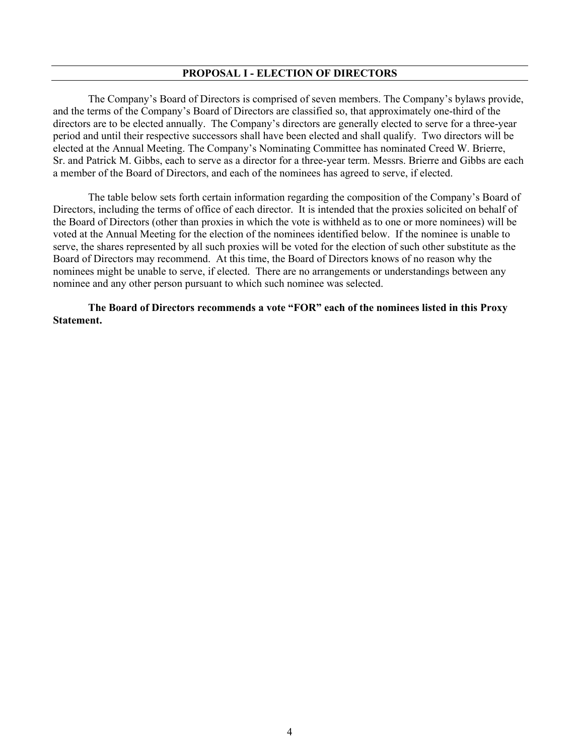### **PROPOSAL I - ELECTION OF DIRECTORS**

The Company's Board of Directors is comprised of seven members. The Company's bylaws provide, and the terms of the Company's Board of Directors are classified so, that approximately one-third of the directors are to be elected annually. The Company's directors are generally elected to serve for a three-year period and until their respective successors shall have been elected and shall qualify. Two directors will be elected at the Annual Meeting. The Company's Nominating Committee has nominated Creed W. Brierre, Sr. and Patrick M. Gibbs, each to serve as a director for a three-year term. Messrs. Brierre and Gibbs are each a member of the Board of Directors, and each of the nominees has agreed to serve, if elected.

The table below sets forth certain information regarding the composition of the Company's Board of Directors, including the terms of office of each director. It is intended that the proxies solicited on behalf of the Board of Directors (other than proxies in which the vote is withheld as to one or more nominees) will be voted at the Annual Meeting for the election of the nominees identified below. If the nominee is unable to serve, the shares represented by all such proxies will be voted for the election of such other substitute as the Board of Directors may recommend. At this time, the Board of Directors knows of no reason why the nominees might be unable to serve, if elected. There are no arrangements or understandings between any nominee and any other person pursuant to which such nominee was selected.

**The Board of Directors recommends a vote "FOR" each of the nominees listed in this Proxy Statement.**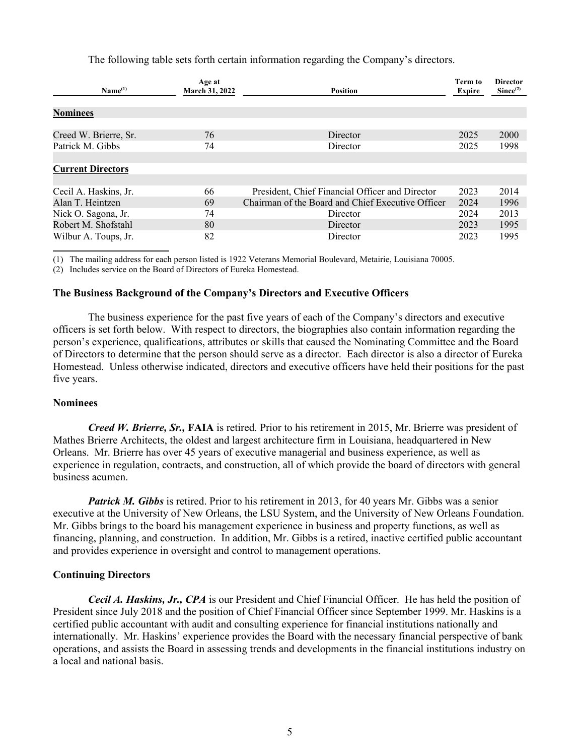The following table sets forth certain information regarding the Company's directors.

| Name <sup>(1)</sup>                         | Age at<br>March 31, 2022 | <b>Position</b>                                               | <b>Term to</b><br>Expire | <b>Director</b><br>Since <sup>(2)</sup> |
|---------------------------------------------|--------------------------|---------------------------------------------------------------|--------------------------|-----------------------------------------|
| <b>Nominees</b>                             |                          |                                                               |                          |                                         |
| Creed W. Brierre, Sr.<br>Patrick M. Gibbs   | 76<br>74                 | Director<br>Director                                          | 2025<br>2025             | 2000<br>1998                            |
| <b>Current Directors</b>                    |                          |                                                               |                          |                                         |
| Cecil A. Haskins, Jr.                       | 66                       | President, Chief Financial Officer and Director               | 2023                     | 2014                                    |
| Alan T. Heintzen<br>Nick O. Sagona, Jr.     | 69<br>74                 | Chairman of the Board and Chief Executive Officer<br>Director | 2024<br>2024             | 1996<br>2013                            |
| Robert M. Shofstahl<br>Wilbur A. Toups, Jr. | 80<br>82                 | Director<br>Director                                          | 2023<br>2023             | 1995<br>1995                            |

(1) The mailing address for each person listed is 1922 Veterans Memorial Boulevard, Metairie, Louisiana 70005.

(2) Includes service on the Board of Directors of Eureka Homestead.

## **The Business Background of the Company's Directors and Executive Officers**

The business experience for the past five years of each of the Company's directors and executive officers is set forth below. With respect to directors, the biographies also contain information regarding the person's experience, qualifications, attributes or skills that caused the Nominating Committee and the Board of Directors to determine that the person should serve as a director. Each director is also a director of Eureka Homestead. Unless otherwise indicated, directors and executive officers have held their positions for the past five years.

### **Nominees**

*Creed W. Brierre, Sr.,* **FAIA** is retired. Prior to his retirement in 2015, Mr. Brierre was president of Mathes Brierre Architects, the oldest and largest architecture firm in Louisiana, headquartered in New Orleans. Mr. Brierre has over 45 years of executive managerial and business experience, as well as experience in regulation, contracts, and construction, all of which provide the board of directors with general business acumen.

*Patrick M. Gibbs* is retired. Prior to his retirement in 2013, for 40 years Mr. Gibbs was a senior executive at the University of New Orleans, the LSU System, and the University of New Orleans Foundation. Mr. Gibbs brings to the board his management experience in business and property functions, as well as financing, planning, and construction. In addition, Mr. Gibbs is a retired, inactive certified public accountant and provides experience in oversight and control to management operations.

### **Continuing Directors**

*Cecil A. Haskins, Jr., CPA* is our President and Chief Financial Officer. He has held the position of President since July 2018 and the position of Chief Financial Officer since September 1999. Mr. Haskins is a certified public accountant with audit and consulting experience for financial institutions nationally and internationally. Mr. Haskins' experience provides the Board with the necessary financial perspective of bank operations, and assists the Board in assessing trends and developments in the financial institutions industry on a local and national basis.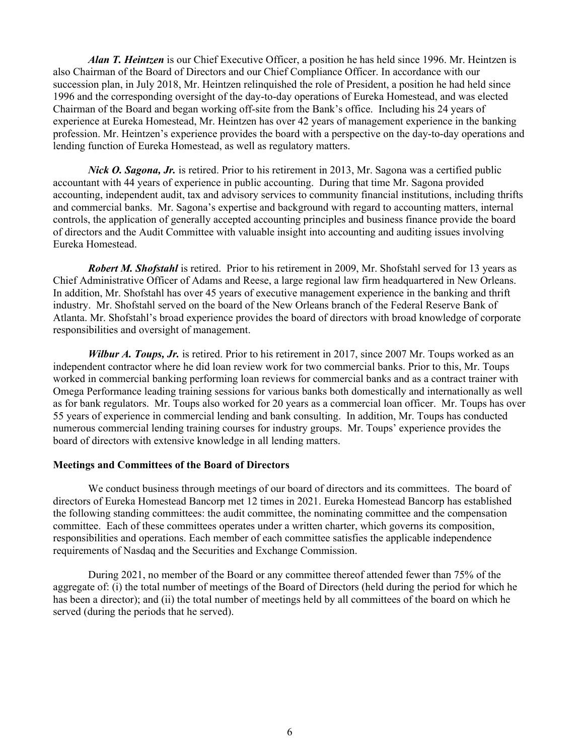*Alan T. Heintzen* is our Chief Executive Officer, a position he has held since 1996. Mr. Heintzen is also Chairman of the Board of Directors and our Chief Compliance Officer. In accordance with our succession plan, in July 2018, Mr. Heintzen relinquished the role of President, a position he had held since 1996 and the corresponding oversight of the day-to-day operations of Eureka Homestead, and was elected Chairman of the Board and began working off-site from the Bank's office. Including his 24 years of experience at Eureka Homestead, Mr. Heintzen has over 42 years of management experience in the banking profession. Mr. Heintzen's experience provides the board with a perspective on the day-to-day operations and lending function of Eureka Homestead, as well as regulatory matters.

*Nick O. Sagona, Jr.* is retired. Prior to his retirement in 2013, Mr. Sagona was a certified public accountant with 44 years of experience in public accounting. During that time Mr. Sagona provided accounting, independent audit, tax and advisory services to community financial institutions, including thrifts and commercial banks. Mr. Sagona's expertise and background with regard to accounting matters, internal controls, the application of generally accepted accounting principles and business finance provide the board of directors and the Audit Committee with valuable insight into accounting and auditing issues involving Eureka Homestead.

*Robert M. Shofstahl* is retired. Prior to his retirement in 2009, Mr. Shofstahl served for 13 years as Chief Administrative Officer of Adams and Reese, a large regional law firm headquartered in New Orleans. In addition, Mr. Shofstahl has over 45 years of executive management experience in the banking and thrift industry. Mr. Shofstahl served on the board of the New Orleans branch of the Federal Reserve Bank of Atlanta. Mr. Shofstahl's broad experience provides the board of directors with broad knowledge of corporate responsibilities and oversight of management.

*Wilbur A. Toups, Jr.* is retired. Prior to his retirement in 2017, since 2007 Mr. Toups worked as an independent contractor where he did loan review work for two commercial banks. Prior to this, Mr. Toups worked in commercial banking performing loan reviews for commercial banks and as a contract trainer with Omega Performance leading training sessions for various banks both domestically and internationally as well as for bank regulators. Mr. Toups also worked for 20 years as a commercial loan officer. Mr. Toups has over 55 years of experience in commercial lending and bank consulting. In addition, Mr. Toups has conducted numerous commercial lending training courses for industry groups. Mr. Toups' experience provides the board of directors with extensive knowledge in all lending matters.

## **Meetings and Committees of the Board of Directors**

We conduct business through meetings of our board of directors and its committees. The board of directors of Eureka Homestead Bancorp met 12 times in 2021. Eureka Homestead Bancorp has established the following standing committees: the audit committee, the nominating committee and the compensation committee. Each of these committees operates under a written charter, which governs its composition, responsibilities and operations. Each member of each committee satisfies the applicable independence requirements of Nasdaq and the Securities and Exchange Commission.

During 2021, no member of the Board or any committee thereof attended fewer than 75% of the aggregate of: (i) the total number of meetings of the Board of Directors (held during the period for which he has been a director); and (ii) the total number of meetings held by all committees of the board on which he served (during the periods that he served).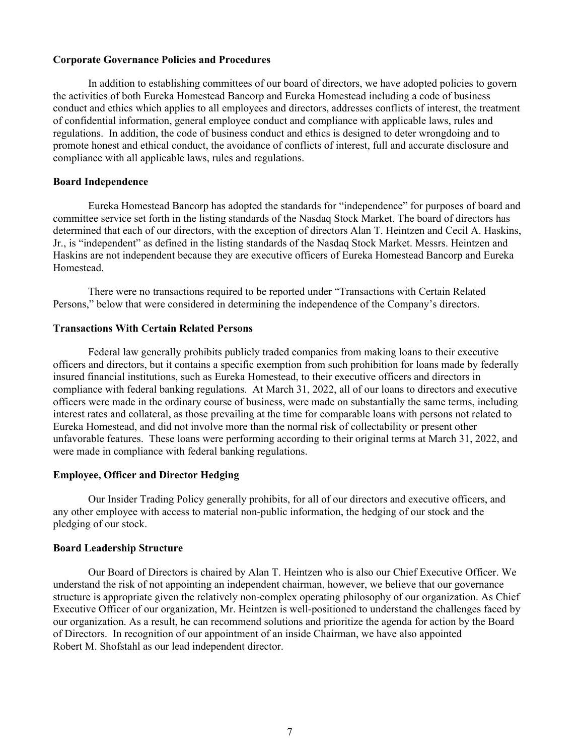## **Corporate Governance Policies and Procedures**

In addition to establishing committees of our board of directors, we have adopted policies to govern the activities of both Eureka Homestead Bancorp and Eureka Homestead including a code of business conduct and ethics which applies to all employees and directors, addresses conflicts of interest, the treatment of confidential information, general employee conduct and compliance with applicable laws, rules and regulations. In addition, the code of business conduct and ethics is designed to deter wrongdoing and to promote honest and ethical conduct, the avoidance of conflicts of interest, full and accurate disclosure and compliance with all applicable laws, rules and regulations.

## **Board Independence**

Eureka Homestead Bancorp has adopted the standards for "independence" for purposes of board and committee service set forth in the listing standards of the Nasdaq Stock Market. The board of directors has determined that each of our directors, with the exception of directors Alan T. Heintzen and Cecil A. Haskins, Jr., is "independent" as defined in the listing standards of the Nasdaq Stock Market. Messrs. Heintzen and Haskins are not independent because they are executive officers of Eureka Homestead Bancorp and Eureka Homestead.

There were no transactions required to be reported under "Transactions with Certain Related Persons," below that were considered in determining the independence of the Company's directors.

### **Transactions With Certain Related Persons**

Federal law generally prohibits publicly traded companies from making loans to their executive officers and directors, but it contains a specific exemption from such prohibition for loans made by federally insured financial institutions, such as Eureka Homestead, to their executive officers and directors in compliance with federal banking regulations. At March 31, 2022, all of our loans to directors and executive officers were made in the ordinary course of business, were made on substantially the same terms, including interest rates and collateral, as those prevailing at the time for comparable loans with persons not related to Eureka Homestead, and did not involve more than the normal risk of collectability or present other unfavorable features. These loans were performing according to their original terms at March 31, 2022, and were made in compliance with federal banking regulations.

## **Employee, Officer and Director Hedging**

Our Insider Trading Policy generally prohibits, for all of our directors and executive officers, and any other employee with access to material non-public information, the hedging of our stock and the pledging of our stock.

## **Board Leadership Structure**

Our Board of Directors is chaired by Alan T. Heintzen who is also our Chief Executive Officer. We understand the risk of not appointing an independent chairman, however, we believe that our governance structure is appropriate given the relatively non-complex operating philosophy of our organization. As Chief Executive Officer of our organization, Mr. Heintzen is well-positioned to understand the challenges faced by our organization. As a result, he can recommend solutions and prioritize the agenda for action by the Board of Directors. In recognition of our appointment of an inside Chairman, we have also appointed Robert M. Shofstahl as our lead independent director.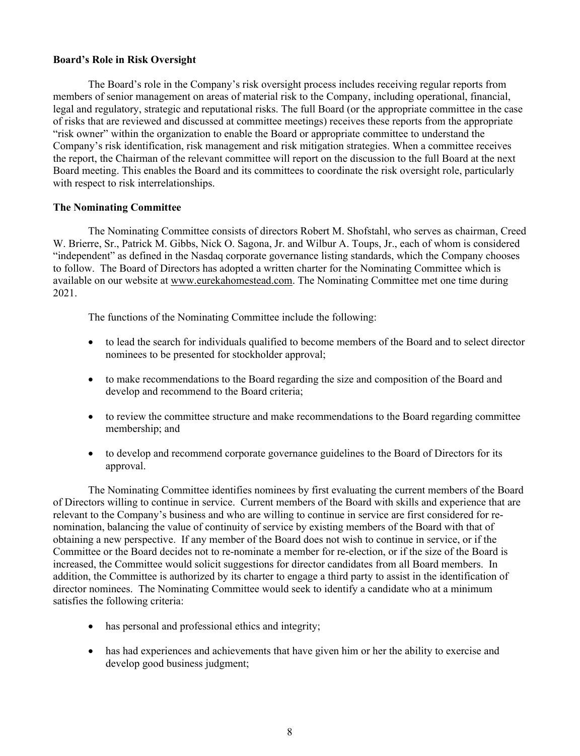## **Board's Role in Risk Oversight**

The Board's role in the Company's risk oversight process includes receiving regular reports from members of senior management on areas of material risk to the Company, including operational, financial, legal and regulatory, strategic and reputational risks. The full Board (or the appropriate committee in the case of risks that are reviewed and discussed at committee meetings) receives these reports from the appropriate "risk owner" within the organization to enable the Board or appropriate committee to understand the Company's risk identification, risk management and risk mitigation strategies. When a committee receives the report, the Chairman of the relevant committee will report on the discussion to the full Board at the next Board meeting. This enables the Board and its committees to coordinate the risk oversight role, particularly with respect to risk interrelationships.

## **The Nominating Committee**

The Nominating Committee consists of directors Robert M. Shofstahl, who serves as chairman, Creed W. Brierre, Sr., Patrick M. Gibbs, Nick O. Sagona, Jr. and Wilbur A. Toups, Jr., each of whom is considered "independent" as defined in the Nasdaq corporate governance listing standards, which the Company chooses to follow. The Board of Directors has adopted a written charter for the Nominating Committee which is available on our website at www.eurekahomestead.com. The Nominating Committee met one time during 2021.

The functions of the Nominating Committee include the following:

- to lead the search for individuals qualified to become members of the Board and to select director nominees to be presented for stockholder approval;
- to make recommendations to the Board regarding the size and composition of the Board and develop and recommend to the Board criteria;
- to review the committee structure and make recommendations to the Board regarding committee membership; and
- to develop and recommend corporate governance guidelines to the Board of Directors for its approval.

The Nominating Committee identifies nominees by first evaluating the current members of the Board of Directors willing to continue in service. Current members of the Board with skills and experience that are relevant to the Company's business and who are willing to continue in service are first considered for renomination, balancing the value of continuity of service by existing members of the Board with that of obtaining a new perspective. If any member of the Board does not wish to continue in service, or if the Committee or the Board decides not to re-nominate a member for re-election, or if the size of the Board is increased, the Committee would solicit suggestions for director candidates from all Board members. In addition, the Committee is authorized by its charter to engage a third party to assist in the identification of director nominees. The Nominating Committee would seek to identify a candidate who at a minimum satisfies the following criteria:

- has personal and professional ethics and integrity;
- has had experiences and achievements that have given him or her the ability to exercise and develop good business judgment;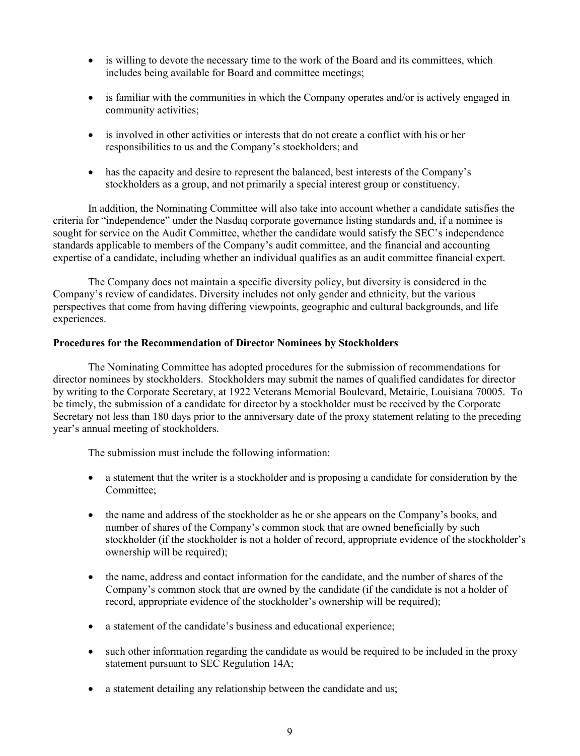- is willing to devote the necessary time to the work of the Board and its committees, which includes being available for Board and committee meetings;
- is familiar with the communities in which the Company operates and/or is actively engaged in community activities;
- is involved in other activities or interests that do not create a conflict with his or her responsibilities to us and the Company's stockholders; and
- has the capacity and desire to represent the balanced, best interests of the Company's stockholders as a group, and not primarily a special interest group or constituency.

In addition, the Nominating Committee will also take into account whether a candidate satisfies the criteria for "independence" under the Nasdaq corporate governance listing standards and, if a nominee is sought for service on the Audit Committee, whether the candidate would satisfy the SEC's independence standards applicable to members of the Company's audit committee, and the financial and accounting expertise of a candidate, including whether an individual qualifies as an audit committee financial expert.

The Company does not maintain a specific diversity policy, but diversity is considered in the Company's review of candidates. Diversity includes not only gender and ethnicity, but the various perspectives that come from having differing viewpoints, geographic and cultural backgrounds, and life experiences.

### **Procedures for the Recommendation of Director Nominees by Stockholders**

The Nominating Committee has adopted procedures for the submission of recommendations for director nominees by stockholders. Stockholders may submit the names of qualified candidates for director by writing to the Corporate Secretary, at 1922 Veterans Memorial Boulevard, Metairie, Louisiana 70005. To be timely, the submission of a candidate for director by a stockholder must be received by the Corporate Secretary not less than 180 days prior to the anniversary date of the proxy statement relating to the preceding year's annual meeting of stockholders.

The submission must include the following information:

- a statement that the writer is a stockholder and is proposing a candidate for consideration by the Committee;
- the name and address of the stockholder as he or she appears on the Company's books, and number of shares of the Company's common stock that are owned beneficially by such stockholder (if the stockholder is not a holder of record, appropriate evidence of the stockholder's ownership will be required);
- the name, address and contact information for the candidate, and the number of shares of the Company's common stock that are owned by the candidate (if the candidate is not a holder of record, appropriate evidence of the stockholder's ownership will be required);
- a statement of the candidate's business and educational experience;
- such other information regarding the candidate as would be required to be included in the proxy statement pursuant to SEC Regulation 14A;
- a statement detailing any relationship between the candidate and us;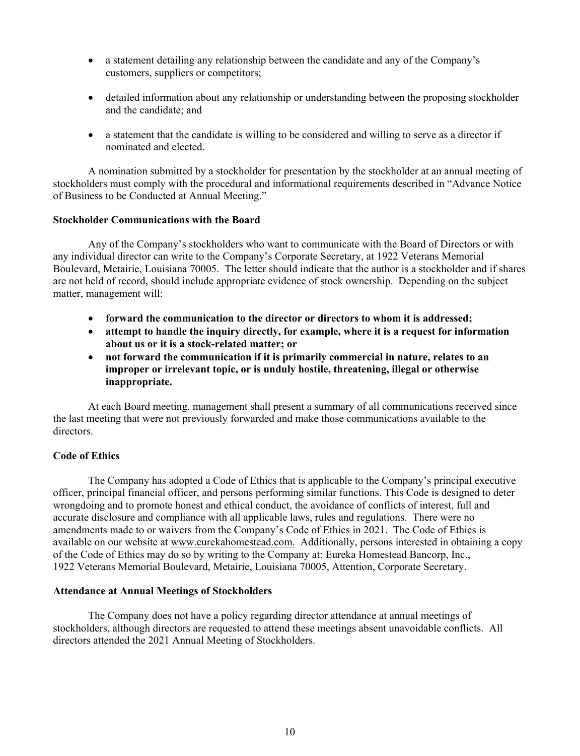- a statement detailing any relationship between the candidate and any of the Company's customers, suppliers or competitors;
- detailed information about any relationship or understanding between the proposing stockholder and the candidate; and
- a statement that the candidate is willing to be considered and willing to serve as a director if nominated and elected.

A nomination submitted by a stockholder for presentation by the stockholder at an annual meeting of stockholders must comply with the procedural and informational requirements described in "Advance Notice of Business to be Conducted at Annual Meeting."

### **Stockholder Communications with the Board**

Any of the Company's stockholders who want to communicate with the Board of Directors or with any individual director can write to the Company's Corporate Secretary, at 1922 Veterans Memorial Boulevard, Metairie, Louisiana 70005. The letter should indicate that the author is a stockholder and if shares are not held of record, should include appropriate evidence of stock ownership. Depending on the subject matter, management will:

- **forward the communication to the director or directors to whom it is addressed;**
- **attempt to handle the inquiry directly, for example, where it is a request for information about us or it is a stock-related matter; or**
- **not forward the communication if it is primarily commercial in nature, relates to an improper or irrelevant topic, or is unduly hostile, threatening, illegal or otherwise inappropriate.**

At each Board meeting, management shall present a summary of all communications received since the last meeting that were not previously forwarded and make those communications available to the directors.

## **Code of Ethics**

The Company has adopted a Code of Ethics that is applicable to the Company's principal executive officer, principal financial officer, and persons performing similar functions. This Code is designed to deter wrongdoing and to promote honest and ethical conduct, the avoidance of conflicts of interest, full and accurate disclosure and compliance with all applicable laws, rules and regulations. There were no amendments made to or waivers from the Company's Code of Ethics in 2021. The Code of Ethics is available on our website at www.eurekahomestead.com. Additionally, persons interested in obtaining a copy of the Code of Ethics may do so by writing to the Company at: Eureka Homestead Bancorp, Inc., 1922 Veterans Memorial Boulevard, Metairie, Louisiana 70005, Attention, Corporate Secretary.

### **Attendance at Annual Meetings of Stockholders**

The Company does not have a policy regarding director attendance at annual meetings of stockholders, although directors are requested to attend these meetings absent unavoidable conflicts. All directors attended the 2021 Annual Meeting of Stockholders.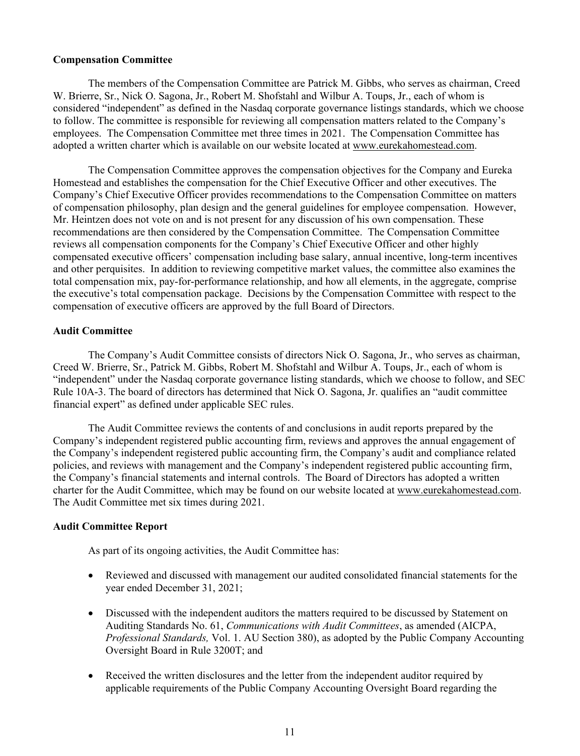### **Compensation Committee**

The members of the Compensation Committee are Patrick M. Gibbs, who serves as chairman, Creed W. Brierre, Sr., Nick O. Sagona, Jr., Robert M. Shofstahl and Wilbur A. Toups, Jr., each of whom is considered "independent" as defined in the Nasdaq corporate governance listings standards, which we choose to follow. The committee is responsible for reviewing all compensation matters related to the Company's employees. The Compensation Committee met three times in 2021. The Compensation Committee has adopted a written charter which is available on our website located at www.eurekahomestead.com.

The Compensation Committee approves the compensation objectives for the Company and Eureka Homestead and establishes the compensation for the Chief Executive Officer and other executives. The Company's Chief Executive Officer provides recommendations to the Compensation Committee on matters of compensation philosophy, plan design and the general guidelines for employee compensation. However, Mr. Heintzen does not vote on and is not present for any discussion of his own compensation. These recommendations are then considered by the Compensation Committee. The Compensation Committee reviews all compensation components for the Company's Chief Executive Officer and other highly compensated executive officers' compensation including base salary, annual incentive, long-term incentives and other perquisites. In addition to reviewing competitive market values, the committee also examines the total compensation mix, pay-for-performance relationship, and how all elements, in the aggregate, comprise the executive's total compensation package. Decisions by the Compensation Committee with respect to the compensation of executive officers are approved by the full Board of Directors.

## **Audit Committee**

The Company's Audit Committee consists of directors Nick O. Sagona, Jr., who serves as chairman, Creed W. Brierre, Sr., Patrick M. Gibbs, Robert M. Shofstahl and Wilbur A. Toups, Jr., each of whom is "independent" under the Nasdaq corporate governance listing standards, which we choose to follow, and SEC Rule 10A-3. The board of directors has determined that Nick O. Sagona, Jr. qualifies an "audit committee financial expert" as defined under applicable SEC rules.

The Audit Committee reviews the contents of and conclusions in audit reports prepared by the Company's independent registered public accounting firm, reviews and approves the annual engagement of the Company's independent registered public accounting firm, the Company's audit and compliance related policies, and reviews with management and the Company's independent registered public accounting firm, the Company's financial statements and internal controls. The Board of Directors has adopted a written charter for the Audit Committee, which may be found on our website located at www.eurekahomestead.com. The Audit Committee met six times during 2021.

## **Audit Committee Report**

As part of its ongoing activities, the Audit Committee has:

- Reviewed and discussed with management our audited consolidated financial statements for the year ended December 31, 2021;
- Discussed with the independent auditors the matters required to be discussed by Statement on Auditing Standards No. 61, *Communications with Audit Committees*, as amended (AICPA, *Professional Standards,* Vol. 1. AU Section 380), as adopted by the Public Company Accounting Oversight Board in Rule 3200T; and
- Received the written disclosures and the letter from the independent auditor required by applicable requirements of the Public Company Accounting Oversight Board regarding the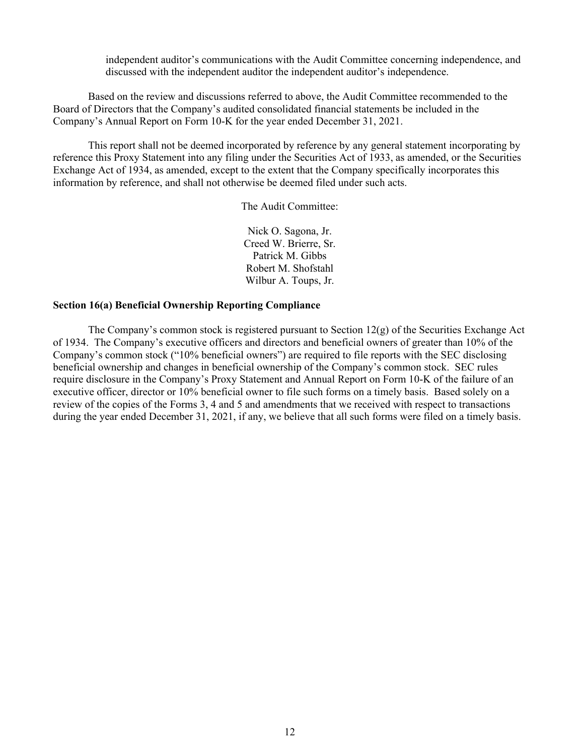independent auditor's communications with the Audit Committee concerning independence, and discussed with the independent auditor the independent auditor's independence.

Based on the review and discussions referred to above, the Audit Committee recommended to the Board of Directors that the Company's audited consolidated financial statements be included in the Company's Annual Report on Form 10-K for the year ended December 31, 2021.

This report shall not be deemed incorporated by reference by any general statement incorporating by reference this Proxy Statement into any filing under the Securities Act of 1933, as amended, or the Securities Exchange Act of 1934, as amended, except to the extent that the Company specifically incorporates this information by reference, and shall not otherwise be deemed filed under such acts.

The Audit Committee:

Nick O. Sagona, Jr. Creed W. Brierre, Sr. Patrick M. Gibbs Robert M. Shofstahl Wilbur A. Toups, Jr.

### **Section 16(a) Beneficial Ownership Reporting Compliance**

The Company's common stock is registered pursuant to Section  $12(g)$  of the Securities Exchange Act of 1934. The Company's executive officers and directors and beneficial owners of greater than 10% of the Company's common stock ("10% beneficial owners") are required to file reports with the SEC disclosing beneficial ownership and changes in beneficial ownership of the Company's common stock. SEC rules require disclosure in the Company's Proxy Statement and Annual Report on Form 10-K of the failure of an executive officer, director or 10% beneficial owner to file such forms on a timely basis. Based solely on a review of the copies of the Forms 3, 4 and 5 and amendments that we received with respect to transactions during the year ended December 31, 2021, if any, we believe that all such forms were filed on a timely basis.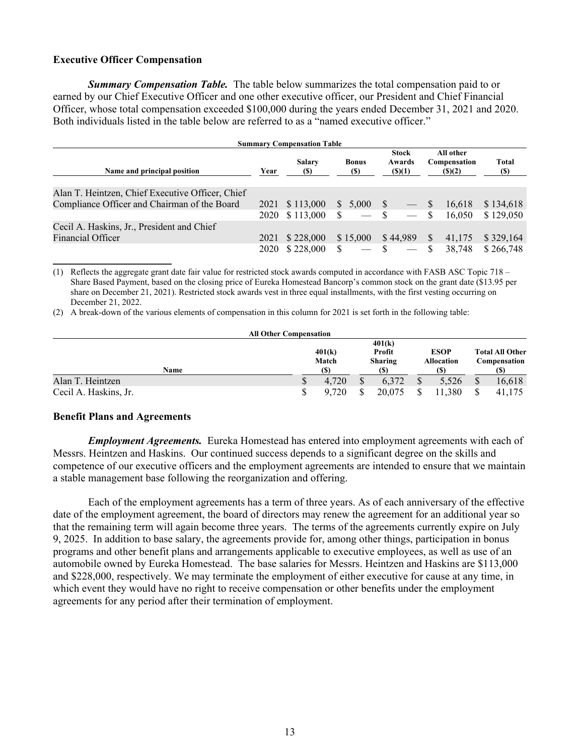## **Executive Officer Compensation**

*Summary Compensation Table.* The table below summarizes the total compensation paid to or earned by our Chief Executive Officer and one other executive officer, our President and Chief Financial Officer, whose total compensation exceeded \$100,000 during the years ended December 31, 2021 and 2020. Both individuals listed in the table below are referred to as a "named executive officer."

| <b>Summary Compensation Table</b>                |      |                      |  |                             |              |                                  |    |                                     |              |
|--------------------------------------------------|------|----------------------|--|-----------------------------|--------------|----------------------------------|----|-------------------------------------|--------------|
| Name and principal position                      | Year | <b>Salary</b><br>(S) |  | <b>Bonus</b><br><b>(\$)</b> |              | <b>Stock</b><br>Awards<br>(S)(1) |    | All other<br>Compensation<br>(S)(2) | Total<br>(S) |
| Alan T. Heintzen, Chief Executive Officer, Chief |      |                      |  |                             |              |                                  |    |                                     |              |
| Compliance Officer and Chairman of the Board     | 2021 | \$113,000            |  | \$5,000                     | <sup>S</sup> | $\overline{\phantom{0}}$         | -S | 16.618                              | \$134,618    |
|                                                  | 2020 | \$113,000            |  |                             | $\mathbf{s}$ |                                  | S  | 16.050                              | \$129,050    |
| Cecil A. Haskins, Jr., President and Chief       |      |                      |  |                             |              |                                  |    |                                     |              |
| Financial Officer                                | 2021 | \$228,000            |  | \$15,000                    |              | \$44.989                         |    | 41,175                              | \$329,164    |
|                                                  | 2020 | \$228,000            |  |                             | S            |                                  |    | 38.748                              | \$266,748    |

(1) Reflects the aggregate grant date fair value for restricted stock awards computed in accordance with FASB ASC Topic 718 – Share Based Payment, based on the closing price of Eureka Homestead Bancorp's common stock on the grant date (\$13.95 per share on December 21, 2021). Restricted stock awards vest in three equal installments, with the first vesting occurring on December 21, 2022.

(2) A break-down of the various elements of compensation in this column for 2021 is set forth in the following table:

| <b>All Other Compensation</b> |                         |       |     |            |              |             |                        |        |  |
|-------------------------------|-------------------------|-------|-----|------------|--------------|-------------|------------------------|--------|--|
|                               | 401(k)                  |       |     |            |              |             |                        |        |  |
|                               | 401(k)<br>Profit        |       |     |            |              | <b>ESOP</b> | <b>Total All Other</b> |        |  |
|                               | Match<br><b>Sharing</b> |       |     | Allocation | Compensation |             |                        |        |  |
| Name                          | <b>(S)</b>              |       | (S) |            |              |             |                        |        |  |
| Alan T. Heintzen              | Φ                       | 4.720 | ¢   | 6.372      | \$           | 5,526       |                        | 16,618 |  |
| Cecil A. Haskins, Jr.         | S                       | 9.720 |     | 20,075     |              | 1.380       |                        | 41,175 |  |

### **Benefit Plans and Agreements**

*Employment Agreements.* Eureka Homestead has entered into employment agreements with each of Messrs. Heintzen and Haskins. Our continued success depends to a significant degree on the skills and competence of our executive officers and the employment agreements are intended to ensure that we maintain a stable management base following the reorganization and offering.

Each of the employment agreements has a term of three years. As of each anniversary of the effective date of the employment agreement, the board of directors may renew the agreement for an additional year so that the remaining term will again become three years. The terms of the agreements currently expire on July 9, 2025. In addition to base salary, the agreements provide for, among other things, participation in bonus programs and other benefit plans and arrangements applicable to executive employees, as well as use of an automobile owned by Eureka Homestead. The base salaries for Messrs. Heintzen and Haskins are \$113,000 and \$228,000, respectively. We may terminate the employment of either executive for cause at any time, in which event they would have no right to receive compensation or other benefits under the employment agreements for any period after their termination of employment.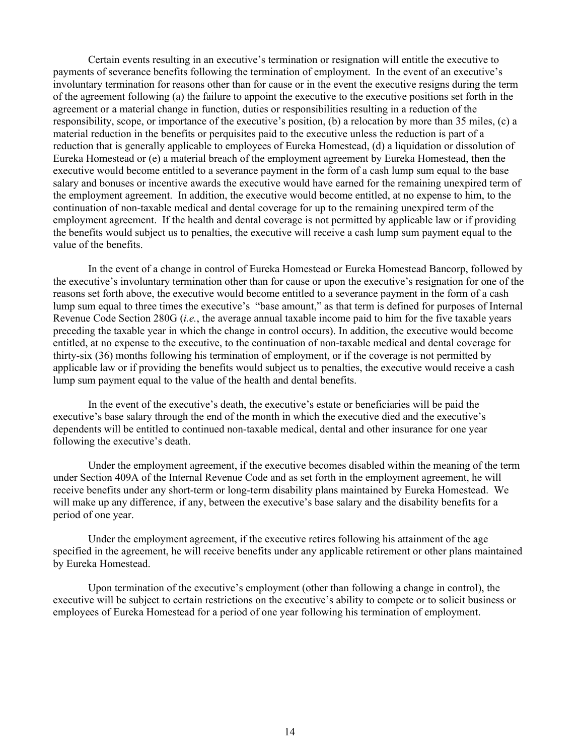Certain events resulting in an executive's termination or resignation will entitle the executive to payments of severance benefits following the termination of employment. In the event of an executive's involuntary termination for reasons other than for cause or in the event the executive resigns during the term of the agreement following (a) the failure to appoint the executive to the executive positions set forth in the agreement or a material change in function, duties or responsibilities resulting in a reduction of the responsibility, scope, or importance of the executive's position, (b) a relocation by more than 35 miles, (c) a material reduction in the benefits or perquisites paid to the executive unless the reduction is part of a reduction that is generally applicable to employees of Eureka Homestead, (d) a liquidation or dissolution of Eureka Homestead or (e) a material breach of the employment agreement by Eureka Homestead, then the executive would become entitled to a severance payment in the form of a cash lump sum equal to the base salary and bonuses or incentive awards the executive would have earned for the remaining unexpired term of the employment agreement. In addition, the executive would become entitled, at no expense to him, to the continuation of non-taxable medical and dental coverage for up to the remaining unexpired term of the employment agreement. If the health and dental coverage is not permitted by applicable law or if providing the benefits would subject us to penalties, the executive will receive a cash lump sum payment equal to the value of the benefits.

In the event of a change in control of Eureka Homestead or Eureka Homestead Bancorp, followed by the executive's involuntary termination other than for cause or upon the executive's resignation for one of the reasons set forth above, the executive would become entitled to a severance payment in the form of a cash lump sum equal to three times the executive's "base amount," as that term is defined for purposes of Internal Revenue Code Section 280G (*i.e.*, the average annual taxable income paid to him for the five taxable years preceding the taxable year in which the change in control occurs). In addition, the executive would become entitled, at no expense to the executive, to the continuation of non-taxable medical and dental coverage for thirty-six (36) months following his termination of employment, or if the coverage is not permitted by applicable law or if providing the benefits would subject us to penalties, the executive would receive a cash lump sum payment equal to the value of the health and dental benefits.

In the event of the executive's death, the executive's estate or beneficiaries will be paid the executive's base salary through the end of the month in which the executive died and the executive's dependents will be entitled to continued non-taxable medical, dental and other insurance for one year following the executive's death.

Under the employment agreement, if the executive becomes disabled within the meaning of the term under Section 409A of the Internal Revenue Code and as set forth in the employment agreement, he will receive benefits under any short-term or long-term disability plans maintained by Eureka Homestead. We will make up any difference, if any, between the executive's base salary and the disability benefits for a period of one year.

Under the employment agreement, if the executive retires following his attainment of the age specified in the agreement, he will receive benefits under any applicable retirement or other plans maintained by Eureka Homestead.

Upon termination of the executive's employment (other than following a change in control), the executive will be subject to certain restrictions on the executive's ability to compete or to solicit business or employees of Eureka Homestead for a period of one year following his termination of employment.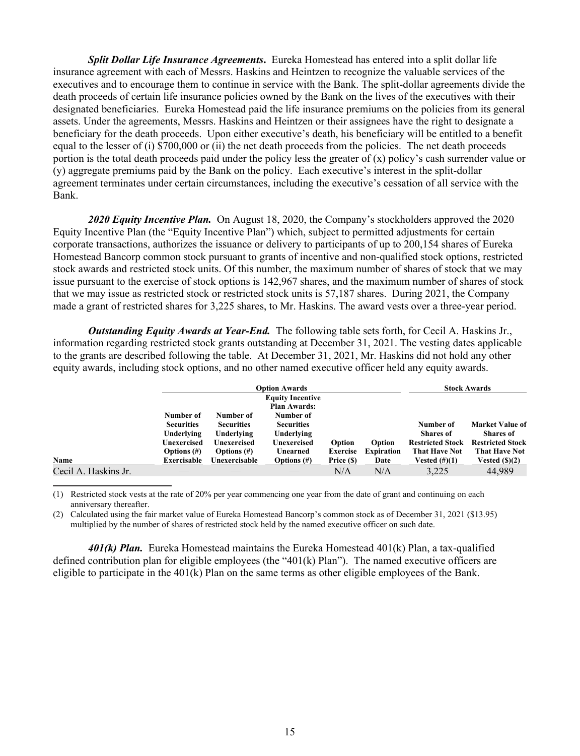*Split Dollar Life Insurance Agreements***.** Eureka Homestead has entered into a split dollar life insurance agreement with each of Messrs. Haskins and Heintzen to recognize the valuable services of the executives and to encourage them to continue in service with the Bank. The split-dollar agreements divide the death proceeds of certain life insurance policies owned by the Bank on the lives of the executives with their designated beneficiaries. Eureka Homestead paid the life insurance premiums on the policies from its general assets. Under the agreements, Messrs. Haskins and Heintzen or their assignees have the right to designate a beneficiary for the death proceeds. Upon either executive's death, his beneficiary will be entitled to a benefit equal to the lesser of (i) \$700,000 or (ii) the net death proceeds from the policies. The net death proceeds portion is the total death proceeds paid under the policy less the greater of  $(x)$  policy's cash surrender value or (y) aggregate premiums paid by the Bank on the policy. Each executive's interest in the split-dollar agreement terminates under certain circumstances, including the executive's cessation of all service with the Bank.

*2020 Equity Incentive Plan.* On August 18, 2020, the Company's stockholders approved the 2020 Equity Incentive Plan (the "Equity Incentive Plan") which, subject to permitted adjustments for certain corporate transactions, authorizes the issuance or delivery to participants of up to 200,154 shares of Eureka Homestead Bancorp common stock pursuant to grants of incentive and non-qualified stock options, restricted stock awards and restricted stock units. Of this number, the maximum number of shares of stock that we may issue pursuant to the exercise of stock options is 142,967 shares, and the maximum number of shares of stock that we may issue as restricted stock or restricted stock units is 57,187 shares. During 2021, the Company made a grant of restricted shares for 3,225 shares, to Mr. Haskins. The award vests over a three-year period.

*Outstanding Equity Awards at Year-End.* The following table sets forth, for Cecil A. Haskins Jr., information regarding restricted stock grants outstanding at December 31, 2021. The vesting dates applicable to the grants are described following the table. At December 31, 2021, Mr. Haskins did not hold any other equity awards, including stock options, and no other named executive officer held any equity awards.

|                      |                   | <b>Option Awards</b> | <b>Stock Awards</b>     |                 |                   |                         |                         |
|----------------------|-------------------|----------------------|-------------------------|-----------------|-------------------|-------------------------|-------------------------|
|                      |                   |                      | <b>Equity Incentive</b> |                 |                   |                         |                         |
|                      |                   |                      | <b>Plan Awards:</b>     |                 |                   |                         |                         |
|                      | Number of         | Number of            | Number of               |                 |                   |                         |                         |
|                      | <b>Securities</b> | <b>Securities</b>    | <b>Securities</b>       |                 |                   | Number of               | <b>Market Value of</b>  |
|                      | Underlying        | Underlying           | Underlying              |                 |                   | <b>Shares</b> of        | <b>Shares of</b>        |
|                      | Unexercised       | Unexercised          | Unexercised             | Option          | Option            | <b>Restricted Stock</b> | <b>Restricted Stock</b> |
|                      | Options $(\#)$    | Options $(\#)$       | Unearned                | <b>Exercise</b> | <b>Expiration</b> | <b>That Have Not</b>    | <b>That Have Not</b>    |
| Name                 | Exercisable       | Unexercisable        | Options $(\#)$          | Price (\$)      | Date              | Vested $(\#)(1)$        | Vested $(\text{S})(2)$  |
| Cecil A. Haskins Jr. |                   |                      |                         | N/A             | N/A               | 3,225                   | 44.989                  |

(1) Restricted stock vests at the rate of 20% per year commencing one year from the date of grant and continuing on each anniversary thereafter.

(2) Calculated using the fair market value of Eureka Homestead Bancorp's common stock as of December 31, 2021 (\$13.95) multiplied by the number of shares of restricted stock held by the named executive officer on such date.

*401(k) Plan.* Eureka Homestead maintains the Eureka Homestead 401(k) Plan, a tax-qualified defined contribution plan for eligible employees (the "401(k) Plan"). The named executive officers are eligible to participate in the 401(k) Plan on the same terms as other eligible employees of the Bank.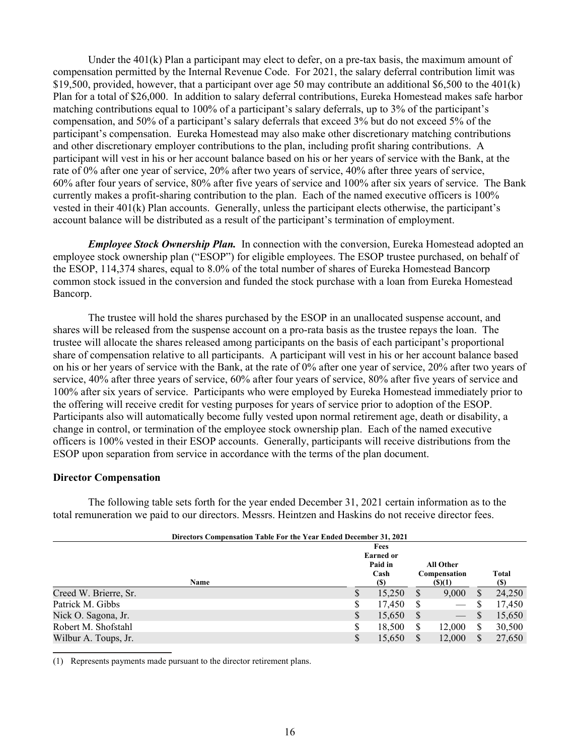Under the  $401(k)$  Plan a participant may elect to defer, on a pre-tax basis, the maximum amount of compensation permitted by the Internal Revenue Code. For 2021, the salary deferral contribution limit was \$19,500, provided, however, that a participant over age 50 may contribute an additional \$6,500 to the 401(k) Plan for a total of \$26,000. In addition to salary deferral contributions, Eureka Homestead makes safe harbor matching contributions equal to 100% of a participant's salary deferrals, up to 3% of the participant's compensation, and 50% of a participant's salary deferrals that exceed 3% but do not exceed 5% of the participant's compensation. Eureka Homestead may also make other discretionary matching contributions and other discretionary employer contributions to the plan, including profit sharing contributions. A participant will vest in his or her account balance based on his or her years of service with the Bank, at the rate of 0% after one year of service, 20% after two years of service, 40% after three years of service, 60% after four years of service, 80% after five years of service and 100% after six years of service. The Bank currently makes a profit-sharing contribution to the plan. Each of the named executive officers is 100% vested in their 401(k) Plan accounts. Generally, unless the participant elects otherwise, the participant's account balance will be distributed as a result of the participant's termination of employment.

*Employee Stock Ownership Plan.* In connection with the conversion, Eureka Homestead adopted an employee stock ownership plan ("ESOP") for eligible employees. The ESOP trustee purchased, on behalf of the ESOP, 114,374 shares, equal to 8.0% of the total number of shares of Eureka Homestead Bancorp common stock issued in the conversion and funded the stock purchase with a loan from Eureka Homestead Bancorp.

The trustee will hold the shares purchased by the ESOP in an unallocated suspense account, and shares will be released from the suspense account on a pro-rata basis as the trustee repays the loan. The trustee will allocate the shares released among participants on the basis of each participant's proportional share of compensation relative to all participants. A participant will vest in his or her account balance based on his or her years of service with the Bank, at the rate of 0% after one year of service, 20% after two years of service, 40% after three years of service, 60% after four years of service, 80% after five years of service and 100% after six years of service. Participants who were employed by Eureka Homestead immediately prior to the offering will receive credit for vesting purposes for years of service prior to adoption of the ESOP. Participants also will automatically become fully vested upon normal retirement age, death or disability, a change in control, or termination of the employee stock ownership plan. Each of the named executive officers is 100% vested in their ESOP accounts. Generally, participants will receive distributions from the ESOP upon separation from service in accordance with the terms of the plan document.

### **Director Compensation**

The following table sets forth for the year ended December 31, 2021 certain information as to the total remuneration we paid to our directors. Messrs. Heintzen and Haskins do not receive director fees.

|                       | <b>Directors Compensation Table For the Year Ended December 31, 2021</b> |                                             |             |                           |   |            |
|-----------------------|--------------------------------------------------------------------------|---------------------------------------------|-------------|---------------------------|---|------------|
|                       |                                                                          | Fees<br><b>Earned or</b><br>Paid in<br>Cash |             | All Other<br>Compensation |   | Total      |
| Name                  |                                                                          | (S)                                         | $($ (\$)(1) |                           |   | <b>(S)</b> |
| Creed W. Brierre, Sr. | S                                                                        | 15,250                                      | S           | 9,000                     |   | 24,250     |
| Patrick M. Gibbs      | S                                                                        | 17,450                                      | S           |                           |   | 17,450     |
| Nick O. Sagona, Jr.   | S                                                                        | 15,650                                      | S           | $\overline{\phantom{0}}$  | S | 15,650     |
| Robert M. Shofstahl   | S                                                                        | 18,500                                      | S           | 12,000                    |   | 30,500     |
| Wilbur A. Toups, Jr.  | S                                                                        | 15.650                                      |             | 12,000                    |   | 27,650     |

(1) Represents payments made pursuant to the director retirement plans.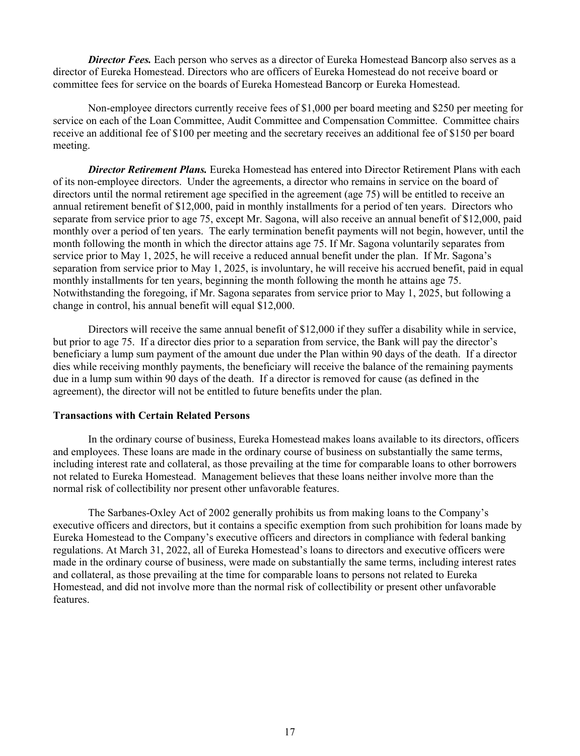*Director Fees.* Each person who serves as a director of Eureka Homestead Bancorp also serves as a director of Eureka Homestead. Directors who are officers of Eureka Homestead do not receive board or committee fees for service on the boards of Eureka Homestead Bancorp or Eureka Homestead.

Non-employee directors currently receive fees of \$1,000 per board meeting and \$250 per meeting for service on each of the Loan Committee, Audit Committee and Compensation Committee. Committee chairs receive an additional fee of \$100 per meeting and the secretary receives an additional fee of \$150 per board meeting.

*Director Retirement Plans.* Eureka Homestead has entered into Director Retirement Plans with each of its non-employee directors. Under the agreements, a director who remains in service on the board of directors until the normal retirement age specified in the agreement (age 75) will be entitled to receive an annual retirement benefit of \$12,000, paid in monthly installments for a period of ten years. Directors who separate from service prior to age 75, except Mr. Sagona, will also receive an annual benefit of \$12,000, paid monthly over a period of ten years. The early termination benefit payments will not begin, however, until the month following the month in which the director attains age 75. If Mr. Sagona voluntarily separates from service prior to May 1, 2025, he will receive a reduced annual benefit under the plan. If Mr. Sagona's separation from service prior to May 1, 2025, is involuntary, he will receive his accrued benefit, paid in equal monthly installments for ten years, beginning the month following the month he attains age 75. Notwithstanding the foregoing, if Mr. Sagona separates from service prior to May 1, 2025, but following a change in control, his annual benefit will equal \$12,000.

Directors will receive the same annual benefit of \$12,000 if they suffer a disability while in service, but prior to age 75. If a director dies prior to a separation from service, the Bank will pay the director's beneficiary a lump sum payment of the amount due under the Plan within 90 days of the death. If a director dies while receiving monthly payments, the beneficiary will receive the balance of the remaining payments due in a lump sum within 90 days of the death. If a director is removed for cause (as defined in the agreement), the director will not be entitled to future benefits under the plan.

## **Transactions with Certain Related Persons**

In the ordinary course of business, Eureka Homestead makes loans available to its directors, officers and employees. These loans are made in the ordinary course of business on substantially the same terms, including interest rate and collateral, as those prevailing at the time for comparable loans to other borrowers not related to Eureka Homestead. Management believes that these loans neither involve more than the normal risk of collectibility nor present other unfavorable features.

The Sarbanes-Oxley Act of 2002 generally prohibits us from making loans to the Company's executive officers and directors, but it contains a specific exemption from such prohibition for loans made by Eureka Homestead to the Company's executive officers and directors in compliance with federal banking regulations. At March 31, 2022, all of Eureka Homestead's loans to directors and executive officers were made in the ordinary course of business, were made on substantially the same terms, including interest rates and collateral, as those prevailing at the time for comparable loans to persons not related to Eureka Homestead, and did not involve more than the normal risk of collectibility or present other unfavorable features.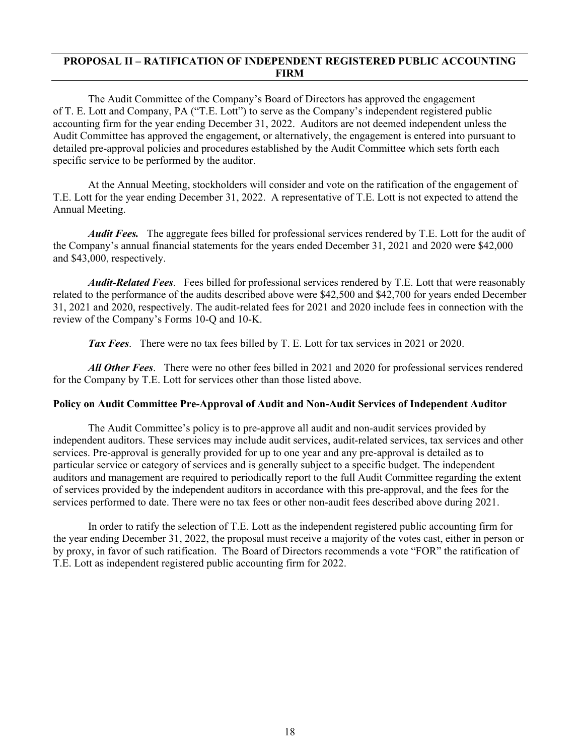# **PROPOSAL II – RATIFICATION OF INDEPENDENT REGISTERED PUBLIC ACCOUNTING FIRM**

The Audit Committee of the Company's Board of Directors has approved the engagement of T. E. Lott and Company, PA ("T.E. Lott") to serve as the Company's independent registered public accounting firm for the year ending December 31, 2022. Auditors are not deemed independent unless the Audit Committee has approved the engagement, or alternatively, the engagement is entered into pursuant to detailed pre-approval policies and procedures established by the Audit Committee which sets forth each specific service to be performed by the auditor.

At the Annual Meeting, stockholders will consider and vote on the ratification of the engagement of T.E. Lott for the year ending December 31, 2022. A representative of T.E. Lott is not expected to attend the Annual Meeting.

*Audit Fees.* The aggregate fees billed for professional services rendered by T.E. Lott for the audit of the Company's annual financial statements for the years ended December 31, 2021 and 2020 were \$42,000 and \$43,000, respectively.

*Audit-Related Fees*. Fees billed for professional services rendered by T.E. Lott that were reasonably related to the performance of the audits described above were \$42,500 and \$42,700 for years ended December 31, 2021 and 2020, respectively. The audit-related fees for 2021 and 2020 include fees in connection with the review of the Company's Forms 10-Q and 10-K.

*Tax Fees*. There were no tax fees billed by T. E. Lott for tax services in 2021 or 2020.

*All Other Fees*. There were no other fees billed in 2021 and 2020 for professional services rendered for the Company by T.E. Lott for services other than those listed above.

### **Policy on Audit Committee Pre-Approval of Audit and Non-Audit Services of Independent Auditor**

The Audit Committee's policy is to pre-approve all audit and non-audit services provided by independent auditors. These services may include audit services, audit-related services, tax services and other services. Pre-approval is generally provided for up to one year and any pre-approval is detailed as to particular service or category of services and is generally subject to a specific budget. The independent auditors and management are required to periodically report to the full Audit Committee regarding the extent of services provided by the independent auditors in accordance with this pre-approval, and the fees for the services performed to date. There were no tax fees or other non-audit fees described above during 2021.

In order to ratify the selection of T.E. Lott as the independent registered public accounting firm for the year ending December 31, 2022, the proposal must receive a majority of the votes cast, either in person or by proxy, in favor of such ratification. The Board of Directors recommends a vote "FOR" the ratification of T.E. Lott as independent registered public accounting firm for 2022.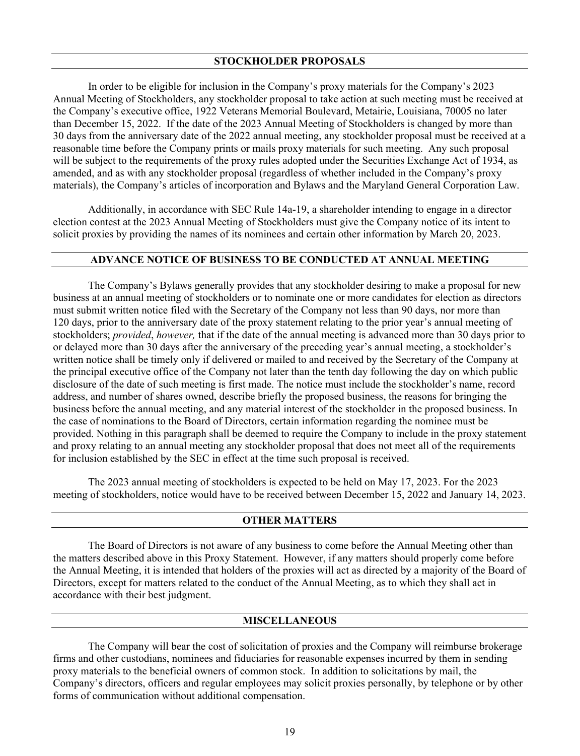In order to be eligible for inclusion in the Company's proxy materials for the Company's 2023 Annual Meeting of Stockholders, any stockholder proposal to take action at such meeting must be received at the Company's executive office, 1922 Veterans Memorial Boulevard, Metairie, Louisiana, 70005 no later than December 15, 2022. If the date of the 2023 Annual Meeting of Stockholders is changed by more than 30 days from the anniversary date of the 2022 annual meeting, any stockholder proposal must be received at a reasonable time before the Company prints or mails proxy materials for such meeting. Any such proposal will be subject to the requirements of the proxy rules adopted under the Securities Exchange Act of 1934, as amended, and as with any stockholder proposal (regardless of whether included in the Company's proxy materials), the Company's articles of incorporation and Bylaws and the Maryland General Corporation Law.

Additionally, in accordance with SEC Rule 14a-19, a shareholder intending to engage in a director election contest at the 2023 Annual Meeting of Stockholders must give the Company notice of its intent to solicit proxies by providing the names of its nominees and certain other information by March 20, 2023.

### **ADVANCE NOTICE OF BUSINESS TO BE CONDUCTED AT ANNUAL MEETING**

The Company's Bylaws generally provides that any stockholder desiring to make a proposal for new business at an annual meeting of stockholders or to nominate one or more candidates for election as directors must submit written notice filed with the Secretary of the Company not less than 90 days, nor more than 120 days, prior to the anniversary date of the proxy statement relating to the prior year's annual meeting of stockholders; *provided*, *however,* that if the date of the annual meeting is advanced more than 30 days prior to or delayed more than 30 days after the anniversary of the preceding year's annual meeting, a stockholder's written notice shall be timely only if delivered or mailed to and received by the Secretary of the Company at the principal executive office of the Company not later than the tenth day following the day on which public disclosure of the date of such meeting is first made. The notice must include the stockholder's name, record address, and number of shares owned, describe briefly the proposed business, the reasons for bringing the business before the annual meeting, and any material interest of the stockholder in the proposed business. In the case of nominations to the Board of Directors, certain information regarding the nominee must be provided. Nothing in this paragraph shall be deemed to require the Company to include in the proxy statement and proxy relating to an annual meeting any stockholder proposal that does not meet all of the requirements for inclusion established by the SEC in effect at the time such proposal is received.

The 2023 annual meeting of stockholders is expected to be held on May 17, 2023. For the 2023 meeting of stockholders, notice would have to be received between December 15, 2022 and January 14, 2023.

### **OTHER MATTERS**

The Board of Directors is not aware of any business to come before the Annual Meeting other than the matters described above in this Proxy Statement. However, if any matters should properly come before the Annual Meeting, it is intended that holders of the proxies will act as directed by a majority of the Board of Directors, except for matters related to the conduct of the Annual Meeting, as to which they shall act in accordance with their best judgment.

### **MISCELLANEOUS**

The Company will bear the cost of solicitation of proxies and the Company will reimburse brokerage firms and other custodians, nominees and fiduciaries for reasonable expenses incurred by them in sending proxy materials to the beneficial owners of common stock. In addition to solicitations by mail, the Company's directors, officers and regular employees may solicit proxies personally, by telephone or by other forms of communication without additional compensation.